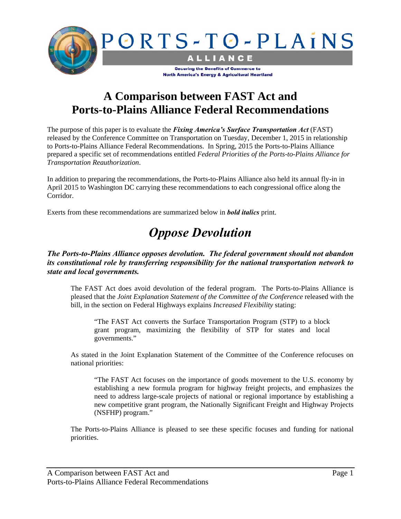

### **A Comparison between FAST Act and Ports-to-Plains Alliance Federal Recommendations**

The purpose of this paper is to evaluate the *Fixing America's Surface Transportation Act* (FAST) released by the Conference Committee on Transportation on Tuesday, December 1, 2015 in relationship to Ports-to-Plains Alliance Federal Recommendations. In Spring, 2015 the Ports-to-Plains Alliance prepared a specific set of recommendations entitled *Federal Priorities of the Ports-to-Plains Alliance for Transportation Reauthorization*.

In addition to preparing the recommendations, the Ports-to-Plains Alliance also held its annual fly-in in April 2015 to Washington DC carrying these recommendations to each congressional office along the Corridor.

Exerts from these recommendations are summarized below in *bold italics* print.

# *Oppose Devolution*

#### *The Ports-to-Plains Alliance opposes devolution. The federal government should not abandon its constitutional role by transferring responsibility for the national transportation network to state and local governments.*

The FAST Act does avoid devolution of the federal program. The Ports-to-Plains Alliance is pleased that the *Joint Explanation Statement of the Committee of the Conference* released with the bill, in the section on Federal Highways explains *Increased Flexibility* stating:

"The FAST Act converts the Surface Transportation Program (STP) to a block grant program, maximizing the flexibility of STP for states and local governments."

As stated in the Joint Explanation Statement of the Committee of the Conference refocuses on national priorities:

"The FAST Act focuses on the importance of goods movement to the U.S. economy by establishing a new formula program for highway freight projects, and emphasizes the need to address large-scale projects of national or regional importance by establishing a new competitive grant program, the Nationally Significant Freight and Highway Projects (NSFHP) program."

The Ports-to-Plains Alliance is pleased to see these specific focuses and funding for national priorities.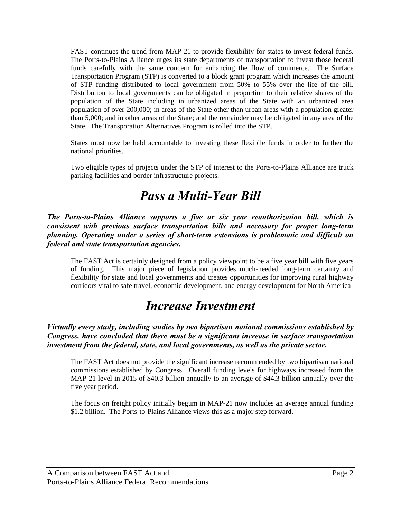FAST continues the trend from MAP-21 to provide flexibility for states to invest federal funds. The Ports-to-Plains Alliance urges its state departments of transportation to invest those federal funds carefully with the same concern for enhancing the flow of commerce. The Surface Transportation Program (STP) is converted to a block grant program which increases the amount of STP funding distributed to local government from 50% to 55% over the life of the bill. Distribution to local governments can be obligated in proportion to their relative shares of the population of the State including in urbanized areas of the State with an urbanized area population of over 200,000; in areas of the State other than urban areas with a population greater than 5,000; and in other areas of the State; and the remainder may be obligated in any area of the State. The Transporation Alternatives Program is rolled into the STP.

States must now be held accountable to investing these flexibile funds in order to further the national priorities.

Two eligible types of projects under the STP of interest to the Ports-to-Plains Alliance are truck parking facilities and border infrastructure projects.

### *Pass a Multi-Year Bill*

*The Ports-to-Plains Alliance supports a five or six year reauthorization bill, which is consistent with previous surface transportation bills and necessary for proper long-term planning. Operating under a series of short-term extensions is problematic and difficult on federal and state transportation agencies.* 

The FAST Act is certainly designed from a policy viewpoint to be a five year bill with five years of funding. This major piece of legislation provides much-needed long-term certainty and flexibility for state and local governments and creates opportunities for improving rural highway corridors vital to safe travel, economic development, and energy development for North America

### *Increase Investment*

*Virtually every study, including studies by two bipartisan national commissions established by Congress, have concluded that there must be a significant increase in surface transportation investment from the federal, state, and local governments, as well as the private sector.* 

The FAST Act does not provide the significant increase recommended by two bipartisan national commissions established by Congress. Overall funding levels for highways increased from the MAP-21 level in 2015 of \$40.3 billion annually to an average of \$44.3 billion annually over the five year period.

The focus on freight policy initially begum in MAP-21 now includes an average annual funding \$1.2 billion. The Ports-to-Plains Alliance views this as a major step forward.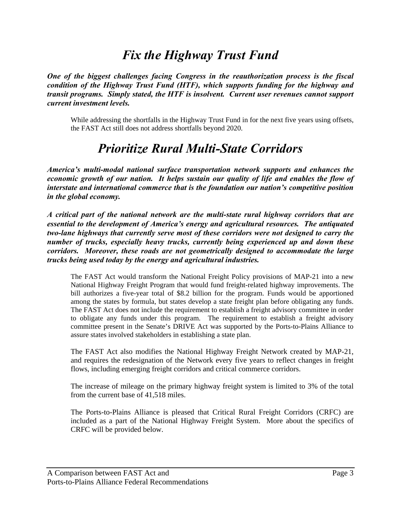## *Fix the Highway Trust Fund*

*One of the biggest challenges facing Congress in the reauthorization process is the fiscal condition of the Highway Trust Fund (HTF), which supports funding for the highway and transit programs. Simply stated, the HTF is insolvent. Current user revenues cannot support current investment levels.* 

While addressing the shortfalls in the Highway Trust Fund in for the next five years using offsets, the FAST Act still does not address shortfalls beyond 2020.

## *Prioritize Rural Multi-State Corridors*

*America's multi-modal national surface transportation network supports and enhances the economic growth of our nation. It helps sustain our quality of life and enables the flow of interstate and international commerce that is the foundation our nation's competitive position in the global economy.* 

*A critical part of the national network are the multi-state rural highway corridors that are essential to the development of America's energy and agricultural resources. The antiquated two-lane highways that currently serve most of these corridors were not designed to carry the number of trucks, especially heavy trucks, currently being experienced up and down these corridors. Moreover, these roads are not geometrically designed to accommodate the large trucks being used today by the energy and agricultural industries.* 

The FAST Act would transform the National Freight Policy provisions of MAP-21 into a new National Highway Freight Program that would fund freight-related highway improvements. The bill authorizes a five-year total of \$8.2 billion for the program. Funds would be apportioned among the states by formula, but states develop a state freight plan before obligating any funds. The FAST Act does not include the requirement to establish a freight advisory committee in order to obligate any funds under this program. The requirement to establish a freight advisory committee present in the Senate's DRIVE Act was supported by the Ports-to-Plains Alliance to assure states involved stakeholders in establishing a state plan.

The FAST Act also modifies the National Highway Freight Network created by MAP-21, and requires the redesignation of the Network every five years to reflect changes in freight flows, including emerging freight corridors and critical commerce corridors.

The increase of mileage on the primary highway freight system is limited to 3% of the total from the current base of 41,518 miles.

The Ports-to-Plains Alliance is pleased that Critical Rural Freight Corridors (CRFC) are included as a part of the National Highway Freight System. More about the specifics of CRFC will be provided below.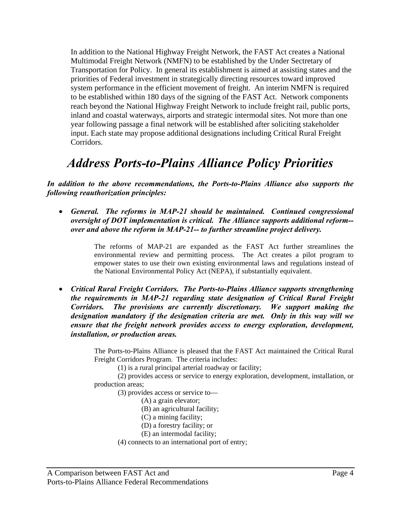In addition to the National Highway Freight Network, the FAST Act creates a National Multimodal Freight Network (NMFN) to be established by the Under Sectretary of Transportation for Policy. In general its establishment is aimed at assisting states and the priorities of Federal investment in strategically directing resources toward improved system performance in the efficient movement of freight. An interim NMFN is required to be established within 180 days of the signing of the FAST Act. Network components reach beyond the National Highway Freight Network to include freight rail, public ports, inland and coastal waterways, airports and strategic intermodal sites. Not more than one year following passage a final network will be established after soliciting stakeholder input. Each state may propose additional designations including Critical Rural Freight Corridors.

## *Address Ports-to-Plains Alliance Policy Priorities*

*In addition to the above recommendations, the Ports-to-Plains Alliance also supports the following reauthorization principles:* 

 *General. The reforms in MAP-21 should be maintained. Continued congressional oversight of DOT implementation is critical. The Alliance supports additional reform- over and above the reform in MAP-21-- to further streamline project delivery.* 

> The reforms of MAP-21 are expanded as the FAST Act further streamlines the environmental review and permitting process. The Act creates a pilot program to empower states to use their own existing environmental laws and regulations instead of the National Environmental Policy Act (NEPA), if substantially equivalent.

 *Critical Rural Freight Corridors. The Ports-to-Plains Alliance supports strengthening the requirements in MAP-21 regarding state designation of Critical Rural Freight Corridors. The provisions are currently discretionary. We support making the designation mandatory if the designation criteria are met. Only in this way will we ensure that the freight network provides access to energy exploration, development, installation, or production areas.* 

> The Ports-to-Plains Alliance is pleased that the FAST Act maintained the Critical Rural Freight Corridors Program. The criteria includes:

(1) is a rural principal arterial roadway or facility;

(2) provides access or service to energy exploration, development, installation, or production areas;

(3) provides access or service to—

- (A) a grain elevator;
- (B) an agricultural facility;
- (C) a mining facility;
- (D) a forestry facility; or
- (E) an intermodal facility;
- (4) connects to an international port of entry;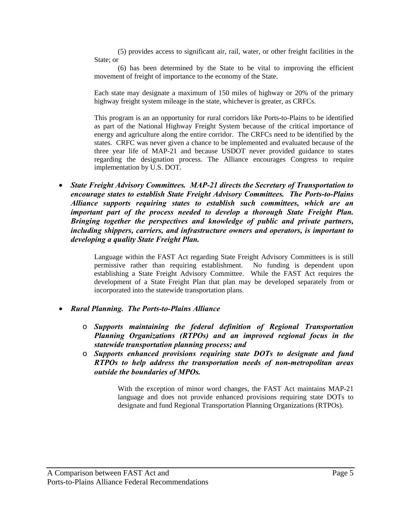(5) provides access to significant air, rail, water, or other freight facilities in the State: or

(6) has been determined by the State to be vital to improving the efficient movement of freight of importance to the economy of the State.

Each state may designate a maximum of 150 miles of highway or 20% of the primary highway freight system mileage in the state, whichever is greater, as CRFCs.

This program is an an opportunity for rural corridors like Ports-to-Plains to be identified as part of the National Highway Freight System because of the critical importance of energy and agriculture along the entire corridor. The CRFCs need to be identified by the states. CRFC was never given a chance to be implemented and evaluated because of the three year life of MAP-21 and because USDOT never provided guidance to states regarding the designation process. The Alliance encourages Congress to require implementation by U.S. DOT.

 *State Freight Advisory Committees. MAP-21 directs the Secretary of Transportation to encourage states to establish State Freight Advisory Committees. The Ports-to-Plains Alliance supports requiring states to establish such committees, which are an important part of the process needed to develop a thorough State Freight Plan. Bringing together the perspectives and knowledge of public and private partners, including shippers, carriers, and infrastructure owners and operators, is important to developing a quality State Freight Plan.* 

> Language within the FAST Act regarding State Freight Advisory Committees is is still permissive rather than requiring establishment. No funding is dependent upon establishing a State Freight Advisory Committee. While the FAST Act requires the development of a State Freight Plan that plan may be developed separately from or incorporated into the statewide transportation plans.

- *Rural Planning. The Ports-to-Plains Alliance* 
	- o *Supports maintaining the federal definition of Regional Transportation Planning Organizations (RTPOs) and an improved regional focus in the statewide transportation planning process; and*
	- o *Supports enhanced provisions requiring state DOTs to designate and fund RTPOs to help address the transportation needs of non-metropolitan areas outside the boundaries of MPOs.*

With the exception of minor word changes, the FAST Act maintains MAP-21 language and does not provide enhanced provisions requiring state DOTs to designate and fund Regional Transportation Planning Organizations (RTPOs).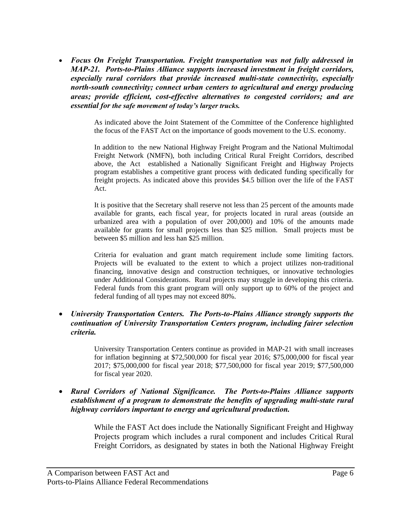*Focus On Freight Transportation. Freight transportation was not fully addressed in MAP-21. Ports-to-Plains Alłiance supports increased investment in freight corridors, especially rural corridors that provide increased multi-state connectivity, especially north-south connectivity; connect urban centers to agricultural and energy producing areas; provide efficient, cost-effective alternatives to congested corridors; and are essential for the safe movement of today's larger trucks.* 

> As indicated above the Joint Statement of the Committee of the Conference highlighted the focus of the FAST Act on the importance of goods movement to the U.S. economy.

> In addition to the new National Highway Freight Program and the National Multimodal Freight Network (NMFN), both including Critical Rural Freight Corridors, described above, the Act established a Nationally Significant Freight and Highway Projects program establishes a competitive grant process with dedicated funding specifically for freight projects. As indicated above this provides \$4.5 billion over the life of the FAST Act.

> It is positive that the Secretary shall reserve not less than 25 percent of the amounts made available for grants, each fiscal year, for projects located in rural areas (outside an urbanized area with a population of over 200,000) and 10% of the amounts made available for grants for small projects less than \$25 million. Small projects must be between \$5 million and less han \$25 million.

> Criteria for evaluation and grant match requirement include some limiting factors. Projects will be evaluated to the extent to which a project utilizes non-traditional financing, innovative design and construction techniques, or innovative technologies under Additional Considerations. Rural projects may struggle in developing this criteria. Federal funds from this grant program will only support up to 60% of the project and federal funding of all types may not exceed 80%.

#### *University Transportation Centers. The Ports-to-Plains Alliance strongly supports the continuation of University Transportation Centers program, including fairer selection criteria.*

University Transportation Centers continue as provided in MAP-21 with small increases for inflation beginning at \$72,500,000 for fiscal year 2016; \$75,000,000 for fiscal year 2017; \$75,000,000 for fiscal year 2018; \$77,500,000 for fiscal year 2019; \$77,500,000 for fiscal year 2020.

 *Rural Corridors of National Significance. The Ports-to-Plains Alliance supports establishment of a program to demonstrate the benefits of upgrading multi-state rural highway corridors important to energy and agricultural production.* 

> While the FAST Act does include the Nationally Significant Freight and Highway Projects program which includes a rural component and includes Critical Rural Freight Corridors, as designated by states in both the National Highway Freight